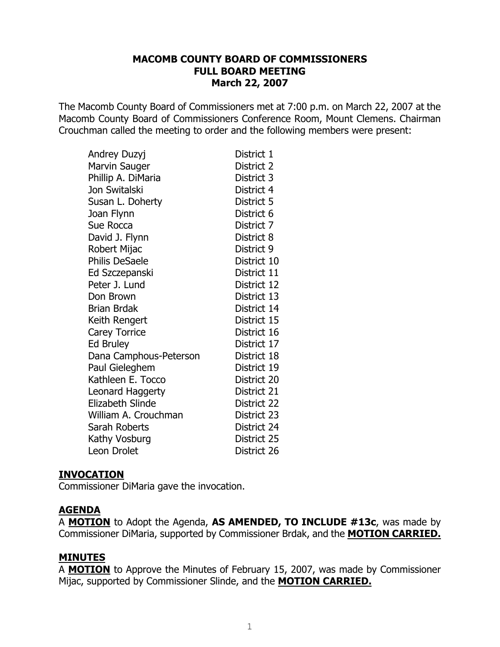The Macomb County Board of Commissioners met at 7:00 p.m. on March 22, 2007 at the Macomb County Board of Commissioners Conference Room, Mount Clemens. Chairman Crouchman called the meeting to order and the following members were present:

| Andrey Duzyj            | District 1  |
|-------------------------|-------------|
| Marvin Sauger           | District 2  |
| Phillip A. DiMaria      | District 3  |
| Jon Switalski           | District 4  |
| Susan L. Doherty        | District 5  |
| Joan Flynn              | District 6  |
| Sue Rocca               | District 7  |
| David J. Flynn          | District 8  |
| Robert Mijac            | District 9  |
| <b>Philis DeSaele</b>   | District 10 |
| Ed Szczepanski          | District 11 |
| Peter J. Lund           | District 12 |
| Don Brown               | District 13 |
| <b>Brian Brdak</b>      | District 14 |
| Keith Rengert           | District 15 |
| <b>Carey Torrice</b>    | District 16 |
| <b>Ed Bruley</b>        | District 17 |
| Dana Camphous-Peterson  | District 18 |
| Paul Gieleghem          | District 19 |
| Kathleen E. Tocco       | District 20 |
| Leonard Haggerty        | District 21 |
| <b>Elizabeth Slinde</b> | District 22 |
| William A. Crouchman    | District 23 |
| Sarah Roberts           | District 24 |
| Kathy Vosburg           | District 25 |
| Leon Drolet             | District 26 |

## **INVOCATION**

Commissioner DiMaria gave the invocation.

## **AGENDA**

A MOTION to Adopt the Agenda, AS AMENDED, TO INCLUDE #13c, was made by Commissioner DiMaria, supported by Commissioner Brdak, and the **MOTION CARRIED.** 

#### **MINUTES**

A MOTION to Approve the Minutes of February 15, 2007, was made by Commissioner Mijac, supported by Commissioner Slinde, and the **MOTION CARRIED.**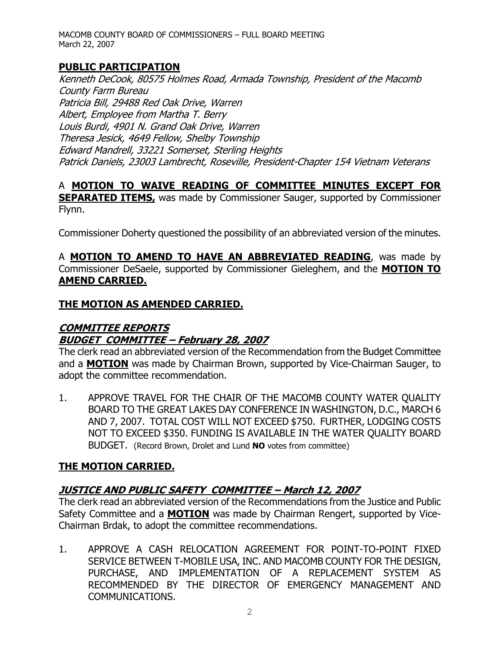# **PUBLIC PARTICIPATION**

Kenneth DeCook, 80575 Holmes Road, Armada Township, President of the Macomb County Farm Bureau Patricia Bill, 29488 Red Oak Drive, Warren Albert, Employee from Martha T. Berry Louis Burdi, 4901 N. Grand Oak Drive, Warren Theresa Jesick, 4649 Fellow, Shelby Township Edward Mandrell, 33221 Somerset, Sterling Heights Patrick Daniels, 23003 Lambrecht, Roseville, President-Chapter 154 Vietnam Veterans

#### A MOTION TO WAIVE READING OF COMMITTEE MINUTES EXCEPT FOR **SEPARATED ITEMS**, was made by Commissioner Sauger, supported by Commissioner Flynn.

Commissioner Doherty questioned the possibility of an abbreviated version of the minutes.

A MOTION TO AMEND TO HAVE AN ABBREVIATED READING, was made by Commissioner DeSaele, supported by Commissioner Gieleghem, and the MOTION TO **AMEND CARRIED.** 

# <u>THE MOTION AS AMENDED CARRIED.</u>

# **COMMITTEE REPORTS BUDGET COMMITTEE - February 28, 2007**

The clerk read an abbreviated version of the Recommendation from the Budget Committee and a **MOTION** was made by Chairman Brown, supported by Vice-Chairman Sauger, to adopt the committee recommendation.

 $1.$ APPROVE TRAVEL FOR THE CHAIR OF THE MACOMB COUNTY WATER QUALITY BOARD TO THE GREAT LAKES DAY CONFERENCE IN WASHINGTON, D.C., MARCH 6 AND 7, 2007. TOTAL COST WILL NOT EXCEED \$750. FURTHER, LODGING COSTS NOT TO EXCEED \$350. FUNDING IS AVAILABLE IN THE WATER OUALITY BOARD BUDGET. (Record Brown, Drolet and Lund NO votes from committee)

# <u>THE MOTION CARRIED.</u>

# JUSTICE AND PUBLIC SAFETY COMMITTEE - March 12, 2007

The clerk read an abbreviated version of the Recommendations from the Justice and Public Safety Committee and a **MOTION** was made by Chairman Rengert, supported by Vice-Chairman Brdak, to adopt the committee recommendations.

 $1.$ APPROVE A CASH RELOCATION AGREEMENT FOR POINT-TO-POINT FIXED SERVICE BETWEEN T-MOBILE USA, INC. AND MACOMB COUNTY FOR THE DESIGN, PURCHASE, AND IMPLEMENTATION OF A REPLACEMENT SYSTEM AS RECOMMENDED BY THE DIRECTOR OF EMERGENCY MANAGEMENT AND COMMUNICATIONS.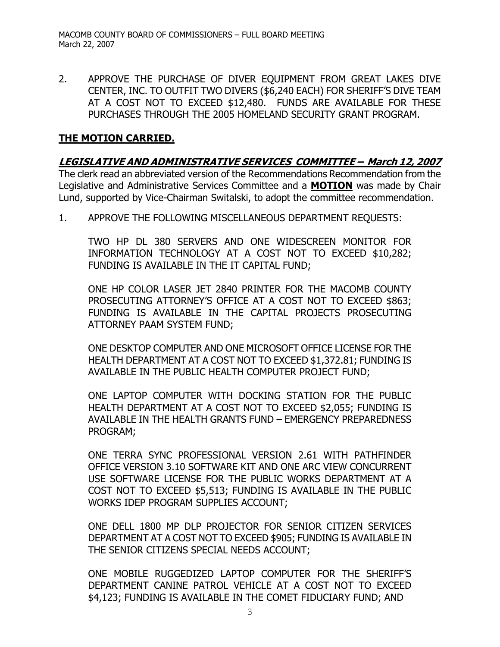APPROVE THE PURCHASE OF DIVER EOUIPMENT FROM GREAT LAKES DIVE  $2.$ CENTER, INC. TO OUTFIT TWO DIVERS (\$6,240 EACH) FOR SHERIFF'S DIVE TEAM AT A COST NOT TO EXCEED \$12,480. FUNDS ARE AVAILABLE FOR THESE PURCHASES THROUGH THE 2005 HOMELAND SECURITY GRANT PROGRAM.

# <u>THE MOTION CARRIED.</u>

# LEGISLATIVE AND ADMINISTRATIVE SERVICES COMMITTEE - March 12, 2007

The clerk read an abbreviated version of the Recommendations Recommendation from the Legislative and Administrative Services Committee and a MOTION was made by Chair Lund, supported by Vice-Chairman Switalski, to adopt the committee recommendation.

 $1<sub>1</sub>$ APPROVE THE FOLLOWING MISCELLANEOUS DEPARTMENT REOUESTS:

TWO HP DL 380 SERVERS AND ONE WIDESCREEN MONITOR FOR INFORMATION TECHNOLOGY AT A COST NOT TO EXCEED \$10,282; FUNDING IS AVAILABLE IN THE IT CAPITAL FUND;

ONE HP COLOR LASER JET 2840 PRINTER FOR THE MACOMB COUNTY PROSECUTING ATTORNEY'S OFFICE AT A COST NOT TO EXCEED \$863; FUNDING IS AVAILABLE IN THE CAPITAL PROJECTS PROSECUTING ATTORNEY PAAM SYSTEM FUND;

ONE DESKTOP COMPUTER AND ONE MICROSOFT OFFICE LICENSE FOR THE HEALTH DEPARTMENT AT A COST NOT TO EXCEED \$1,372.81; FUNDING IS AVAILABLE IN THE PUBLIC HEALTH COMPUTER PROJECT FUND;

ONE LAPTOP COMPUTER WITH DOCKING STATION FOR THE PUBLIC HEALTH DEPARTMENT AT A COST NOT TO EXCEED \$2,055; FUNDING IS AVAILABLE IN THE HEALTH GRANTS FUND - EMERGENCY PREPAREDNESS PROGRAM;

ONE TERRA SYNC PROFESSIONAL VERSION 2.61 WITH PATHFINDER OFFICE VERSION 3.10 SOFTWARE KIT AND ONE ARC VIEW CONCURRENT USE SOFTWARE LICENSE FOR THE PUBLIC WORKS DEPARTMENT AT A COST NOT TO EXCEED \$5,513; FUNDING IS AVAILABLE IN THE PUBLIC WORKS IDEP PROGRAM SUPPLIES ACCOUNT;

ONE DELL 1800 MP DLP PROJECTOR FOR SENIOR CITIZEN SERVICES DEPARTMENT AT A COST NOT TO EXCEED \$905; FUNDING IS AVAILABLE IN THE SENIOR CITIZENS SPECIAL NEEDS ACCOUNT;

ONE MOBILE RUGGEDIZED LAPTOP COMPUTER FOR THE SHERIFF'S DEPARTMENT CANINE PATROL VEHICLE AT A COST NOT TO EXCEED \$4,123; FUNDING IS AVAILABLE IN THE COMET FIDUCIARY FUND; AND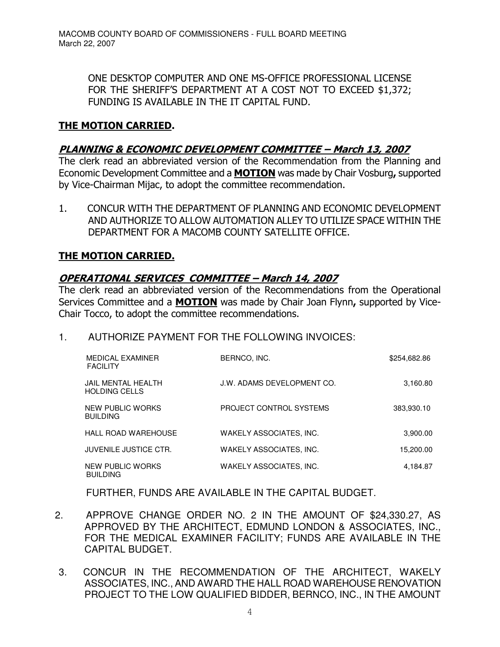ONE DESKTOP COMPUTER AND ONE MS-OFFICE PROFESSIONAL LICENSE FOR THE SHERIFF'S DEPARTMENT AT A COST NOT TO EXCEED \$1,372; FUNDING IS AVAILABLE IN THE IT CAPITAL FUND.

## <u>THE MOTION CARRIED.</u>

#### <u>PLANNING & ECONOMIC DEVELOPMENT COMMITTEE – March 13, 2007</u>

The clerk read an abbreviated version of the Recommendation from the Planning and Economic Development Committee and a **MOTION** was made by Chair Vosburg, supported by Vice-Chairman Mijac, to adopt the committee recommendation.

1. CONCUR WITH THE DEPARTMENT OF PLANNING AND ECONOMIC DEVELOPMENT AND AUTHORIZE TO ALLOW AUTOMATION ALLEY TO UTILIZE SPACE WITHIN THE DEPARTMENT FOR A MACOMB COUNTY SATELLITE OFFICE.

#### <u>THE MOTION CARRIED.</u>

## <u> OPERATIONAL SERVICES COMMITTEE – March 14, 2007</u>

The clerk read an abbreviated version of the Recommendations from the Operational Services Committee and a MOTION was made by Chair Joan Flynn, supported by Vice-Chair Tocco, to adopt the committee recommendations.

#### 1. AUTHORIZE PAYMENT FOR THE FOLLOWING INVOICES:

| <b>MEDICAL EXAMINER</b><br><b>FACILITY</b> | BERNCO, INC.               | \$254,682.86 |
|--------------------------------------------|----------------------------|--------------|
| JAIL MENTAL HEALTH<br><b>HOLDING CELLS</b> | J.W. ADAMS DEVELOPMENT CO. | 3,160.80     |
| NEW PUBLIC WORKS<br><b>BUILDING</b>        | PROJECT CONTROL SYSTEMS    | 383,930.10   |
| <b>HALL ROAD WAREHOUSE</b>                 | WAKELY ASSOCIATES. INC.    | 3,900.00     |
| <b>JUVENILE JUSTICE CTR.</b>               | WAKELY ASSOCIATES, INC.    | 15,200.00    |
| NEW PUBLIC WORKS<br><b>BUILDING</b>        | WAKELY ASSOCIATES. INC.    | 4,184.87     |

FURTHER, FUNDS ARE AVAILABLE IN THE CAPITAL BUDGET.

- 2. APPROVE CHANGE ORDER NO. 2 IN THE AMOUNT OF \$24,330.27, AS APPROVED BY THE ARCHITECT, EDMUND LONDON & ASSOCIATES, INC., FOR THE MEDICAL EXAMINER FACILITY; FUNDS ARE AVAILABLE IN THE CAPITAL BUDGET.
- 3. CONCUR IN THE RECOMMENDATION OF THE ARCHITECT, WAKELY ASSOCIATES, INC., AND AWARD THE HALL ROAD WAREHOUSE RENOVATION PROJECT TO THE LOW QUALIFIED BIDDER, BERNCO, INC., IN THE AMOUNT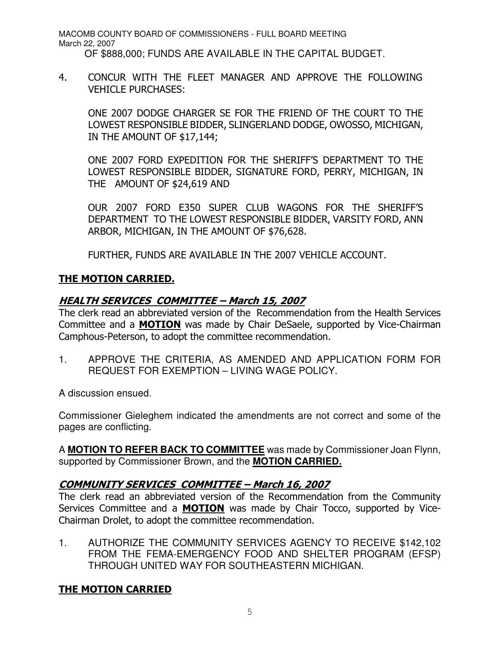MACOMB COUNTY BOARD OF COMMISSIONERS - FULL BOARD MEETING March 22, 2007 OF \$888,000; FUNDS ARE AVAILABLE IN THE CAPITAL BUDGET.

4. CONCUR WITH THE FLEET MANAGER AND APPROVE THE FOLLOWING VEHICLE PURCHASES:

ONE 2007 DODGE CHARGER SE FOR THE FRIEND OF THE COURT TO THE LOWEST RESPONSIBLE BIDDER, SLINGERLAND DODGE, OWOSSO, MICHIGAN, IN THE AMOUNT OF \$17,144;

ONE 2007 FORD EXPEDITION FOR THE SHERIFF'S DEPARTMENT TO THE LOWEST RESPONSIBLE BIDDER, SIGNATURE FORD, PERRY, MICHIGAN, IN THE AMOUNT OF \$24,619 AND

OUR 2007 FORD E350 SUPER CLUB WAGONS FOR THE SHERIFF'S DEPARTMENT TO THE LOWEST RESPONSIBLE BIDDER, VARSITY FORD, ANN ARBOR, MICHIGAN, IN THE AMOUNT OF \$76,628.

FURTHER, FUNDS ARE AVAILABLE IN THE 2007 VEHICLE ACCOUNT.

# <u>THE MOTION CARRIED.</u>

## <u> HEALTH SERVICES COMMITTEE – March 15, 2007</u>

The clerk read an abbreviated version of the Recommendation from the Health Services Committee and a MOTION was made by Chair DeSaele, supported by Vice-Chairman Camphous-Peterson, to adopt the committee recommendation.

1. APPROVE THE CRITERIA, AS AMENDED AND APPLICATION FORM FOR REQUEST FOR EXEMPTION – LIVING WAGE POLICY.

A discussion ensued.

Commissioner Gieleghem indicated the amendments are not correct and some of the pages are conflicting.

A **MOTION TO REFER BACK TO COMMITTEE** was made by Commissioner Joan Flynn, supported by Commissioner Brown, and the **MOTION CARRIED.**

#### <u>COMMUNITY SERVICES COMMITTEE – March 16, 2007</u>

The clerk read an abbreviated version of the Recommendation from the Community Services Committee and a **MOTION** was made by Chair Tocco, supported by Vice-Chairman Drolet, to adopt the committee recommendation.

1. AUTHORIZE THE COMMUNITY SERVICES AGENCY TO RECEIVE \$142,102 FROM THE FEMA-EMERGENCY FOOD AND SHELTER PROGRAM (EFSP) THROUGH UNITED WAY FOR SOUTHEASTERN MICHIGAN.

# <u>THE MOTION CARRIED</u>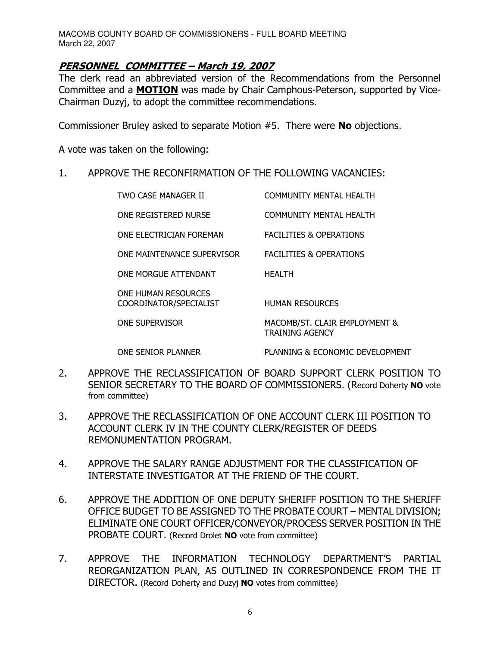#### <u> PERSONNEL COMMITTEE – March 19, 2007</u>

The clerk read an abbreviated version of the Recommendations from the Personnel Committee and a **MOTION** was made by Chair Camphous-Peterson, supported by Vice-Chairman Duzyj, to adopt the committee recommendations.

Commissioner Bruley asked to separate Motion  $#5$ . There were **No** objections.

A vote was taken on the following:

1. APPROVE THE RECONFIRMATION OF THE FOLLOWING VACANCIES:

TWO CASE MANAGER II COMMUNITY MENTAL HEALTH ONE REGISTERED NURSE COMMUNITY MENTAL HEALTH ONE ELECTRICIAN FOREMAN FACILITIES & OPERATIONS ONE MAINTENANCE SUPERVISOR FACILITIES & OPERATIONS ONE MORGUE ATTENDANT HEALTH ONE HUMAN RESOURCES COORDINATOR/SPECIALIST HUMAN RESOURCES ONE SUPERVISOR MACOMB/ST. CLAIR EMPLOYMENT & TRAINING AGENCY

ONE SENIOR PLANNER PLANNING & ECONOMIC DEVELOPMENT

- 2. APPROVE THE RECLASSIFICATION OF BOARD SUPPORT CLERK POSITION TO SENIOR SECRETARY TO THE BOARD OF COMMISSIONERS. (Record Doherty NO vote from committee)
- 3. APPROVE THE RECLASSIFICATION OF ONE ACCOUNT CLERK III POSITION TO ACCOUNT CLERK IV IN THE COUNTY CLERK/REGISTER OF DEEDS REMONUMENTATION PROGRAM.
- 4. APPROVE THE SALARY RANGE ADJUSTMENT FOR THE CLASSIFICATION OF INTERSTATE INVESTIGATOR AT THE FRIEND OF THE COURT.
- 6. APPROVE THE ADDITION OF ONE DEPUTY SHERIFF POSITION TO THE SHERIFF OFFICE BUDGET TO BE ASSIGNED TO THE PROBATE COURT - MENTAL DIVISION; ELIMINATE ONE COURT OFFICER/CONVEYOR/PROCESS SERVER POSITION IN THE PROBATE COURT. (Record Drolet NO vote from committee)
- 7. APPROVE THE INFORMATION TECHNOLOGY DEPARTMENT'S PARTIAL REORGANIZATION PLAN, AS OUTLINED IN CORRESPONDENCE FROM THE IT DIRECTOR. (Record Doherty and Duzyj NO votes from committee)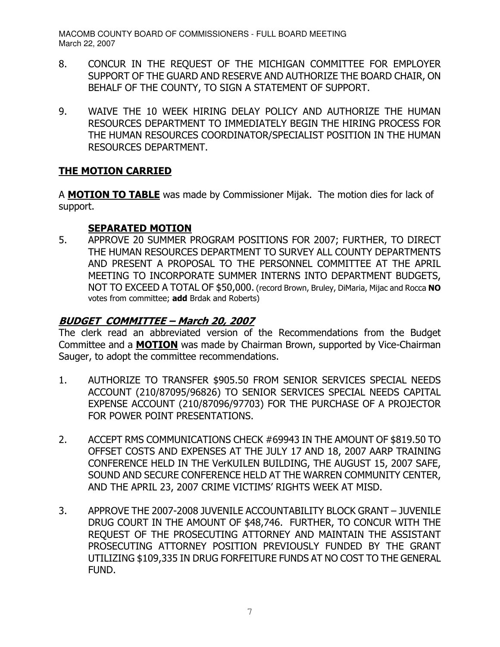- 8. CONCUR IN THE REQUEST OF THE MICHIGAN COMMITTEE FOR EMPLOYER SUPPORT OF THE GUARD AND RESERVE AND AUTHORIZE THE BOARD CHAIR, ON BEHALF OF THE COUNTY, TO SIGN A STATEMENT OF SUPPORT.
- 9. WAIVE THE 10 WEEK HIRING DELAY POLICY AND AUTHORIZE THE HUMAN RESOURCES DEPARTMENT TO IMMEDIATELY BEGIN THE HIRING PROCESS FOR THE HUMAN RESOURCES COORDINATOR/SPECIALIST POSITION IN THE HUMAN RESOURCES DEPARTMENT.

# <u>THE MOTION CARRIED</u>

A **MOTION TO TABLE** was made by Commissioner Mijak. The motion dies for lack of support.

# <u>SEPARATED MOTION</u>

5. APPROVE 20 SUMMER PROGRAM POSITIONS FOR 2007; FURTHER, TO DIRECT THE HUMAN RESOURCES DEPARTMENT TO SURVEY ALL COUNTY DEPARTMENTS AND PRESENT A PROPOSAL TO THE PERSONNEL COMMITTEE AT THE APRIL MEETING TO INCORPORATE SUMMER INTERNS INTO DEPARTMENT BUDGETS, NOT TO EXCEED A TOTAL OF \$50,000. (record Brown, Bruley, DiMaria, Mijac and Rocca NO votes from committee; **add** Brdak and Roberts)

# <u> BUDGET COMMITTEE – March 20, 2007</u>

The clerk read an abbreviated version of the Recommendations from the Budget Committee and a **MOTION** was made by Chairman Brown, supported by Vice-Chairman Sauger, to adopt the committee recommendations.

- 1. AUTHORIZE TO TRANSFER \$905.50 FROM SENIOR SERVICES SPECIAL NEEDS ACCOUNT (210/87095/96826) TO SENIOR SERVICES SPECIAL NEEDS CAPITAL EXPENSE ACCOUNT (210/87096/97703) FOR THE PURCHASE OF A PROJECTOR FOR POWER POINT PRESENTATIONS.
- 2. ACCEPT RMS COMMUNICATIONS CHECK #69943 IN THE AMOUNT OF \$819.50 TO OFFSET COSTS AND EXPENSES AT THE JULY 17 AND 18, 2007 AARP TRAINING CONFERENCE HELD IN THE VerKUILEN BUILDING, THE AUGUST 15, 2007 SAFE, SOUND AND SECURE CONFERENCE HELD AT THE WARREN COMMUNITY CENTER, AND THE APRIL 23, 2007 CRIME VICTIMS' RIGHTS WEEK AT MISD.
- 3. APPROVE THE 2007-2008 JUVENILE ACCOUNTABILITY BLOCK GRANT JUVENILE DRUG COURT IN THE AMOUNT OF \$48,746. FURTHER, TO CONCUR WITH THE REQUEST OF THE PROSECUTING ATTORNEY AND MAINTAIN THE ASSISTANT PROSECUTING ATTORNEY POSITION PREVIOUSLY FUNDED BY THE GRANT UTILIZING \$109,335 IN DRUG FORFEITURE FUNDS AT NO COST TO THE GENERAL FUND.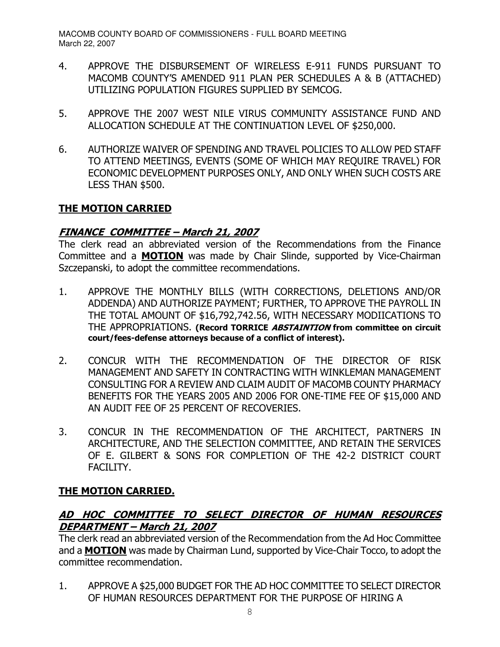- 4. APPROVE THE DISBURSEMENT OF WIRELESS E-911 FUNDS PURSUANT TO MACOMB COUNTY'S AMENDED 911 PLAN PER SCHEDULES A & B (ATTACHED) UTILIZING POPULATION FIGURES SUPPLIED BY SEMCOG.
- 5. APPROVE THE 2007 WEST NILE VIRUS COMMUNITY ASSISTANCE FUND AND ALLOCATION SCHEDULE AT THE CONTINUATION LEVEL OF \$250,000.
- 6. AUTHORIZE WAIVER OF SPENDING AND TRAVEL POLICIES TO ALLOW PED STAFF TO ATTEND MEETINGS, EVENTS (SOME OF WHICH MAY REQUIRE TRAVEL) FOR ECONOMIC DEVELOPMENT PURPOSES ONLY, AND ONLY WHEN SUCH COSTS ARE LESS THAN \$500.

# <u>THE MOTION CARRIED</u>

# <u> FINANCE COMMITTEE – March 21, 2007</u>

The clerk read an abbreviated version of the Recommendations from the Finance Committee and a **MOTION** was made by Chair Slinde, supported by Vice-Chairman Szczepanski, to adopt the committee recommendations.

- 1. APPROVE THE MONTHLY BILLS (WITH CORRECTIONS, DELETIONS AND/OR ADDENDA) AND AUTHORIZE PAYMENT; FURTHER, TO APPROVE THE PAYROLL IN THE TOTAL AMOUNT OF \$16,792,742.56, WITH NECESSARY MODIICATIONS TO THE APPROPRIATIONS. (Record TORRICE ABSTAINTION from committee on circuit court/fees-defense attorneys because of a conflict of interest).
- 2. CONCUR WITH THE RECOMMENDATION OF THE DIRECTOR OF RISK MANAGEMENT AND SAFETY IN CONTRACTING WITH WINKLEMAN MANAGEMENT CONSULTING FOR A REVIEW AND CLAIM AUDIT OF MACOMB COUNTY PHARMACY BENEFITS FOR THE YEARS 2005 AND 2006 FOR ONE-TIME FEE OF \$15,000 AND AN AUDIT FEE OF 25 PERCENT OF RECOVERIES.
- 3. CONCUR IN THE RECOMMENDATION OF THE ARCHITECT, PARTNERS IN ARCHITECTURE, AND THE SELECTION COMMITTEE, AND RETAIN THE SERVICES OF E. GILBERT & SONS FOR COMPLETION OF THE 42-2 DISTRICT COURT FACILITY.

# <u>THE MOTION CARRIED.</u>

# AD HOC COMMITTEE TO SELECT DIRECTOR OF HUMAN RESOURCES <u> DEPARTMENT – March 21, 2007</u>

The clerk read an abbreviated version of the Recommendation from the Ad Hoc Committee and a MOTION was made by Chairman Lund, supported by Vice-Chair Tocco, to adopt the committee recommendation.

1. APPROVE A \$25,000 BUDGET FOR THE AD HOC COMMITTEE TO SELECT DIRECTOR OF HUMAN RESOURCES DEPARTMENT FOR THE PURPOSE OF HIRING A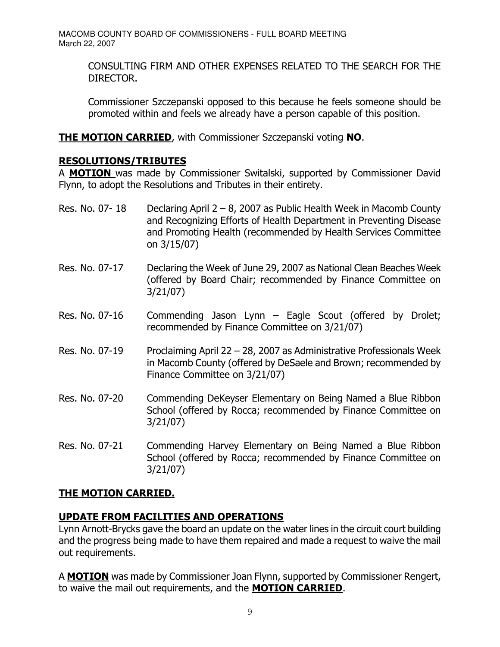CONSULTING FIRM AND OTHER EXPENSES RELATED TO THE SEARCH FOR THE DIRECTOR.

Commissioner Szczepanski opposed to this because he feels someone should be promoted within and feels we already have a person capable of this position.

THE MOTION CARRIED, with Commissioner Szczepanski voting NO.

# **RESOLUTIONS/TRIBUTES**

A **MOTION** was made by Commissioner Switalski, supported by Commissioner David Flynn, to adopt the Resolutions and Tributes in their entirety.

- Res. No. 07- 18 Declaring April 2 8, 2007 as Public Health Week in Macomb County and Recognizing Efforts of Health Department in Preventing Disease and Promoting Health (recommended by Health Services Committee on  $3/15/07$ )
- Res. No. 07-17 e Week of June 29, 2007 as National Clean Beaches Week (offered by Board Chair; recommended by Finance Committee on  $3/21/07$
- < 5%0 \* ? 3 ' D "G recommended by Finance Committee on 3/21/07)
- Res. No. 07-19 Proclaiming April 22 28, 2007 as Administrative Professionals Week in Macomb County (offered by DeSaele and Brown; recommended by Finance Committee on 3/21/07)
- < 5 

"4 3 <  School (offered by Rocca; recommended by Finance Committee on  $3/21/07$
- < 5% 

7& 3 <  School (offered by Rocca; recommended by Finance Committee on  $3/21/07$

# <u>THE MOTION CARRIED.</u>

# <u>UPDATE FROM FACILITIES AND OPERATIONS</u>

Lynn Arnott-Brycks gave the board an update on the water lines in the circuit court building and the progress being made to have them repaired and made a request to waive the mail out requirements.

A MOTION was made by Commissioner Joan Flynn, supported by Commissioner Rengert, to waive the mail out requirements, and the **MOTION CARRIED**.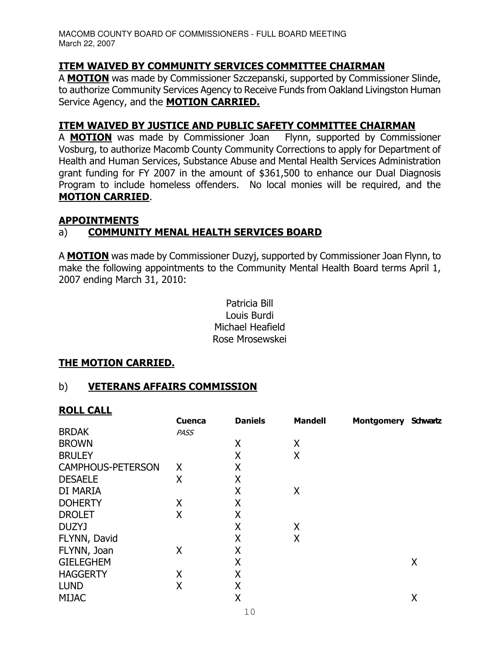# <u>ITEM WAIVED BY COMMUNITY SERVICES COMMITTEE CHAIRMAN</u>

A MOTION was made by Commissioner Szczepanski, supported by Commissioner Slinde, to authorize Community Services Agency to Receive Funds from Oakland Livingston Human Service Agency, and the MOTION CARRIED.

#### <u>ITEM WAIVED BY JUSTICE AND PUBLIC SAFETY COMMITTEE CHAIRMAN</u>

A **MOTION** was made by Commissioner Joan Flynn, supported b Flynn, supported by Commissioner Vosburg, to authorize Macomb County Community Corrections to apply for Department of Health and Human Services, Substance Abuse and Mental Health Services Administration grant funding for FY 2007 in the amount of \$361,500 to enhance our Dual Diagnosis Program to include homeless offenders. No local monies will be required, and the <u>MOTION CARRIED</u>.

# <u>APPOINTMENTS</u>

# a) COMMUNITY MENAL HEALTH SERVICES BOARD

A MOTION was made by Commissioner Duzyj, supported by Commissioner Joan Flynn, to make the following appointments to the Community Mental Health Board terms April 1, 2007 ending March 31, 2010:

> Patricia Bill Louis Burdi Michael Heafield Rose Mrosewskei

## <u>THE MOTION CARRIED.</u>

#### b) <u>VETERANS AFFAIRS COMMISSION</u>

## **ROLL CALL**

|                          | <b>Cuenca</b> | <b>Daniels</b> | <b>Mandell</b> | <b>Montgomery</b> | <b>Schwartz</b> |
|--------------------------|---------------|----------------|----------------|-------------------|-----------------|
| <b>BRDAK</b>             | <b>PASS</b>   |                |                |                   |                 |
| <b>BROWN</b>             |               | X              | X              |                   |                 |
| <b>BRULEY</b>            |               | X              | X              |                   |                 |
| <b>CAMPHOUS-PETERSON</b> | X             | Χ              |                |                   |                 |
| <b>DESAELE</b>           | X             | X              |                |                   |                 |
| DI MARIA                 |               | X              | X              |                   |                 |
| <b>DOHERTY</b>           | Χ             | X              |                |                   |                 |
| <b>DROLET</b>            | X             | X              |                |                   |                 |
| DUZYJ                    |               | X              | Χ              |                   |                 |
| FLYNN, David             |               | Χ              | X              |                   |                 |
| FLYNN, Joan              | Χ             | Χ              |                |                   |                 |
| <b>GIELEGHEM</b>         |               | X              |                |                   | Χ               |
| <b>HAGGERTY</b>          | Χ             | Χ              |                |                   |                 |
| <b>LUND</b>              | X             | X              |                |                   |                 |
| <b>MIJAC</b>             |               | X              |                |                   | Χ               |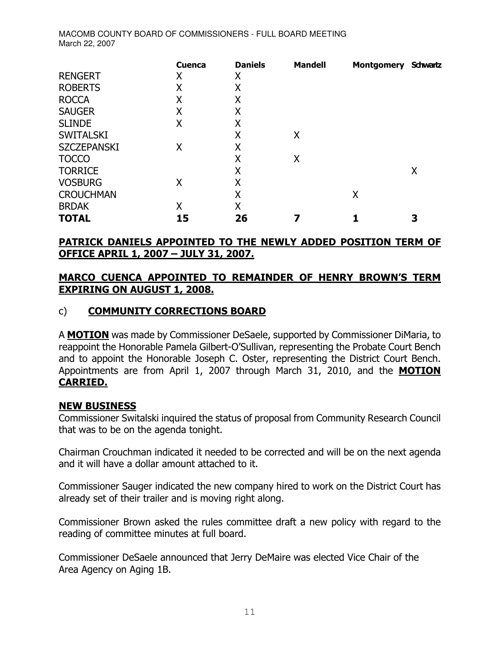|                    | <b>Cuenca</b> | <b>Daniels</b> | <b>Mandell</b> | <b>Montgomery</b> | <b>Schwartz</b> |
|--------------------|---------------|----------------|----------------|-------------------|-----------------|
| <b>RENGERT</b>     | Χ             | Χ              |                |                   |                 |
| <b>ROBERTS</b>     | Χ             | Χ              |                |                   |                 |
| <b>ROCCA</b>       | Χ             | Χ              |                |                   |                 |
| <b>SAUGER</b>      | Χ             | Χ              |                |                   |                 |
| <b>SLINDE</b>      | X             | Χ              |                |                   |                 |
| <b>SWITALSKI</b>   |               | Χ              | Χ              |                   |                 |
| <b>SZCZEPANSKI</b> | Χ             | Χ              |                |                   |                 |
| <b>TOCCO</b>       |               | X              | Χ              |                   |                 |
| <b>TORRICE</b>     |               | Χ              |                |                   | Χ               |
| <b>VOSBURG</b>     | Χ             | Χ              |                |                   |                 |
| <b>CROUCHMAN</b>   |               | Χ              |                | X                 |                 |
| <b>BRDAK</b>       | Χ             | Χ              |                |                   |                 |
| <b>TOTAL</b>       | 15            | 26             |                |                   | 3               |

## <u>PATRICK DANIELS APPOINTED TO THE NEWLY ADDED POSITION TERM OF</u> <u> OFFICE APRIL 1, 2007 – JULY 31, 2007.</u>

# <u>MARCO CUENCA APPOINTED TO REMAINDER OF HENRY BROWN'S TERM</u> **EXPIRING ON AUGUST 1, 2008.**

# c) COMMUNITY CORRECTIONS BOARD

A **MOTION** was made by Commissioner DeSaele, supported by Commissioner DiMaria, to reappoint the Honorable Pamela Gilbert-O'Sullivan, representing the Probate Court Bench and to appoint the Honorable Joseph C. Oster, representing the District Court Bench. Appointments are from April 1, 2007 through March 31, 2010, and the **MOTION CARRIED.** 

## **NEW BUSINESS**

Commissioner Switalski inquired the status of proposal from Community Research Council that was to be on the agenda tonight.

Chairman Crouchman indicated it needed to be corrected and will be on the next agenda and it will have a dollar amount attached to it.

Commissioner Sauger indicated the new company hired to work on the District Court has already set of their trailer and is moving right along.

Commissioner Brown asked the rules committee draft a new policy with regard to the reading of committee minutes at full board.

Commissioner DeSaele announced that Jerry DeMaire was elected Vice Chair of the Area Agency on Aging 1B.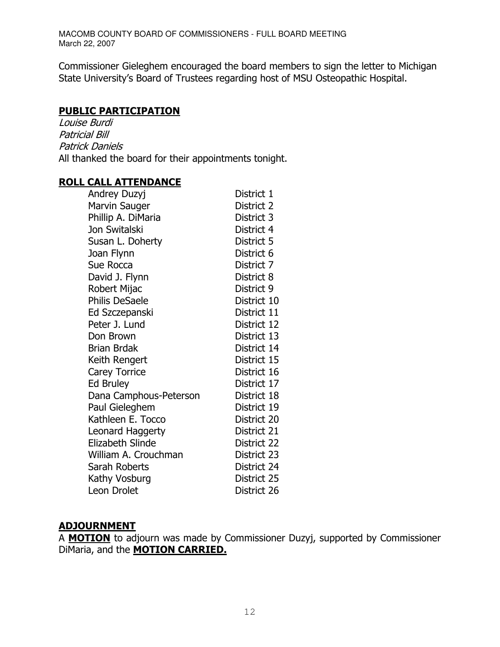Commissioner Gieleghem encouraged the board members to sign the letter to Michigan State University's Board of Trustees regarding host of MSU Osteopathic Hospital.

#### **PUBLIC PARTICIPATION**

Louise Burdi **Patricial Bill** Patrick Daniels All thanked the board for their appointments tonight.

#### **ROLL CALL ATTENDANCE**

| Andrey Duzyj            | District 1  |
|-------------------------|-------------|
| Marvin Sauger           | District 2  |
| Phillip A. DiMaria      | District 3  |
| Jon Switalski           | District 4  |
| Susan L. Doherty        | District 5  |
| Joan Flynn              | District 6  |
| Sue Rocca               | District 7  |
| David J. Flynn          | District 8  |
| Robert Mijac            | District 9  |
| <b>Philis DeSaele</b>   | District 10 |
| Ed Szczepanski          | District 11 |
| Peter J. Lund           | District 12 |
| Don Brown               | District 13 |
| <b>Brian Brdak</b>      | District 14 |
| Keith Rengert           | District 15 |
| <b>Carey Torrice</b>    | District 16 |
| <b>Ed Bruley</b>        | District 17 |
| Dana Camphous-Peterson  | District 18 |
| Paul Gieleghem          | District 19 |
| Kathleen E. Tocco       | District 20 |
| Leonard Haggerty        | District 21 |
| <b>Elizabeth Slinde</b> | District 22 |
| William A. Crouchman    | District 23 |
| Sarah Roberts           | District 24 |
| Kathy Vosburg           | District 25 |
| Leon Drolet             | District 26 |

#### <u>ADJOURNMENT</u>

A MOTION to adjourn was made by Commissioner Duzyj, supported by Commissioner DiMaria, and the **MOTION CARRIED.**